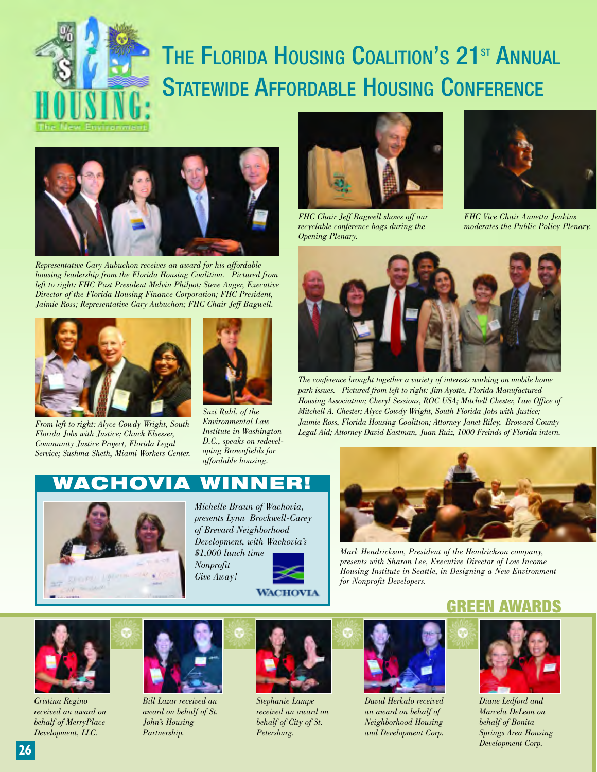

## THE FLORIDA HOUSING COALITION'S 21<sup>ST</sup> ANNUAL STATEWIDE AFFORDABLE HOUSING CONFERENCE



*Representative Gary Aubuchon receives an award for his affordable housing leadership from the Florida Housing Coalition. Pictured from left to right: FHC Past President Melvin Philpot; Steve Auger, Executive Director of the Florida Housing Finance Corporation; FHC President, Jaimie Ross; Representative Gary Aubuchon; FHC Chair Jeff Bagwell.*



*From left to right: Alyce Gowdy Wright, South Florida Jobs with Justice; Chuck Elsesser, Community Justice Project, Florida Legal Service; Sushma Sheth, Miami Workers Center.*



*Suzi Ruhl, of the Environmental Law Institute in Washington D.C., speaks on redeveloping Brownfields for affordable housing.*



*recyclable conference bags during the Opening Plenary.*



*FHC Vice Chair Annetta Jenkins moderates the Public Policy Plenary.*



*The conference brought together a variety of interests working on mobile home park issues. Pictured from left to right: Jim Ayotte, Florida Manufactured Housing Association; Cheryl Sessions, ROC USA; Mitchell Chester, Law Office of Mitchell A. Chester; Alyce Gowdy Wright, South Florida Jobs with Justice; Jaimie Ross, Florida Housing Coalition; Attorney Janet Riley, Broward County Legal Aid; Attorney David Eastman, Juan Ruiz, 1000 Freinds of Florida intern.*

## **WACHOVIA WINNER!**



*Michelle Braun of Wachovia, presents Lynn Brockwell-Carey of Brevard Neighborhood Development, with Wachovia's \$1,000 lunch time Nonprofit Give Away!* **WACHOVIA** 



*Mark Hendrickson, President of the Hendrickson company, presents with Sharon Lee, Executive Director of Low Income Housing Institute in Seattle, in Designing a New Environment for Nonprofit Developers.*

## GREEN



*Cristina Regino received an award on behalf of MerryPlace Development, LLC.*



*Bill Lazar received an award on behalf of St. John's Housing Partnership.*



*Stephanie Lampe received an award on behalf of City of St. Petersburg.*



*David Herkalo received an award on behalf of Neighborhood Housing and Development Corp.*



*Diane Ledford and Marcela DeLeon on behalf of Bonita Springs Area Housing Development Corp.*